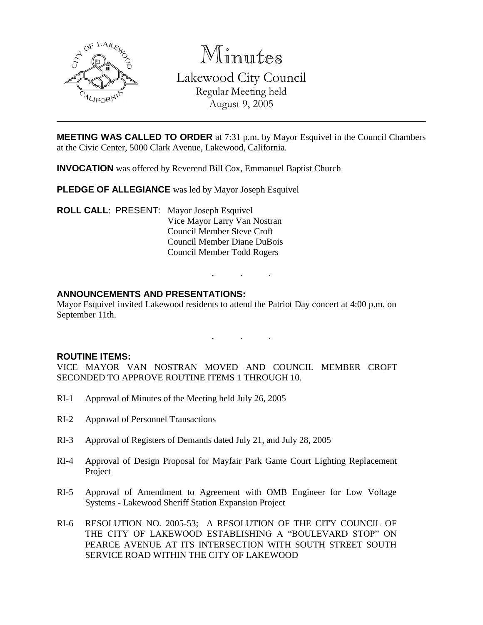

Minutes Lakewood City Council Regular Meeting held August 9, 2005

**MEETING WAS CALLED TO ORDER** at 7:31 p.m. by Mayor Esquivel in the Council Chambers at the Civic Center, 5000 Clark Avenue, Lakewood, California.

**INVOCATION** was offered by Reverend Bill Cox, Emmanuel Baptist Church

**PLEDGE OF ALLEGIANCE** was led by Mayor Joseph Esquivel

**ROLL CALL**: PRESENT: Mayor Joseph Esquivel Vice Mayor Larry Van Nostran Council Member Steve Croft Council Member Diane DuBois Council Member Todd Rogers

# **ANNOUNCEMENTS AND PRESENTATIONS:**

Mayor Esquivel invited Lakewood residents to attend the Patriot Day concert at 4:00 p.m. on September 11th.

. . .

. . .

#### **ROUTINE ITEMS:**

VICE MAYOR VAN NOSTRAN MOVED AND COUNCIL MEMBER CROFT SECONDED TO APPROVE ROUTINE ITEMS 1 THROUGH 10.

- RI-1 Approval of Minutes of the Meeting held July 26, 2005
- RI-2 Approval of Personnel Transactions
- RI-3 Approval of Registers of Demands dated July 21, and July 28, 2005
- RI-4 Approval of Design Proposal for Mayfair Park Game Court Lighting Replacement Project
- RI-5 Approval of Amendment to Agreement with OMB Engineer for Low Voltage Systems - Lakewood Sheriff Station Expansion Project
- RI-6 RESOLUTION NO. 2005-53; A RESOLUTION OF THE CITY COUNCIL OF THE CITY OF LAKEWOOD ESTABLISHING A "BOULEVARD STOP" ON PEARCE AVENUE AT ITS INTERSECTION WITH SOUTH STREET SOUTH SERVICE ROAD WITHIN THE CITY OF LAKEWOOD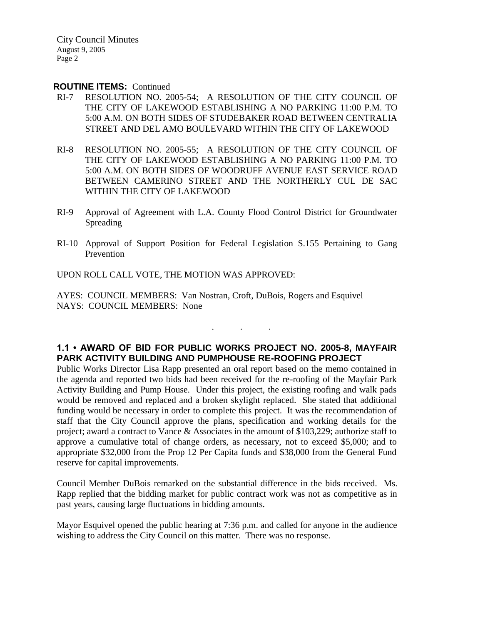City Council Minutes August 9, 2005 Page 2

#### **ROUTINE ITEMS:** Continued

- RI-7 RESOLUTION NO. 2005-54; A RESOLUTION OF THE CITY COUNCIL OF THE CITY OF LAKEWOOD ESTABLISHING A NO PARKING 11:00 P.M. TO 5:00 A.M. ON BOTH SIDES OF STUDEBAKER ROAD BETWEEN CENTRALIA STREET AND DEL AMO BOULEVARD WITHIN THE CITY OF LAKEWOOD
- RI-8 RESOLUTION NO. 2005-55; A RESOLUTION OF THE CITY COUNCIL OF THE CITY OF LAKEWOOD ESTABLISHING A NO PARKING 11:00 P.M. TO 5:00 A.M. ON BOTH SIDES OF WOODRUFF AVENUE EAST SERVICE ROAD BETWEEN CAMERINO STREET AND THE NORTHERLY CUL DE SAC WITHIN THE CITY OF LAKEWOOD
- RI-9 Approval of Agreement with L.A. County Flood Control District for Groundwater Spreading
- RI-10 Approval of Support Position for Federal Legislation S.155 Pertaining to Gang Prevention

UPON ROLL CALL VOTE, THE MOTION WAS APPROVED:

AYES: COUNCIL MEMBERS: Van Nostran, Croft, DuBois, Rogers and Esquivel NAYS: COUNCIL MEMBERS: None

# **1.1 • AWARD OF BID FOR PUBLIC WORKS PROJECT NO. 2005-8, MAYFAIR PARK ACTIVITY BUILDING AND PUMPHOUSE RE-ROOFING PROJECT**

. . .

Public Works Director Lisa Rapp presented an oral report based on the memo contained in the agenda and reported two bids had been received for the re-roofing of the Mayfair Park Activity Building and Pump House. Under this project, the existing roofing and walk pads would be removed and replaced and a broken skylight replaced. She stated that additional funding would be necessary in order to complete this project. It was the recommendation of staff that the City Council approve the plans, specification and working details for the project; award a contract to Vance & Associates in the amount of \$103,229; authorize staff to approve a cumulative total of change orders, as necessary, not to exceed \$5,000; and to appropriate \$32,000 from the Prop 12 Per Capita funds and \$38,000 from the General Fund reserve for capital improvements.

Council Member DuBois remarked on the substantial difference in the bids received. Ms. Rapp replied that the bidding market for public contract work was not as competitive as in past years, causing large fluctuations in bidding amounts.

Mayor Esquivel opened the public hearing at 7:36 p.m. and called for anyone in the audience wishing to address the City Council on this matter. There was no response.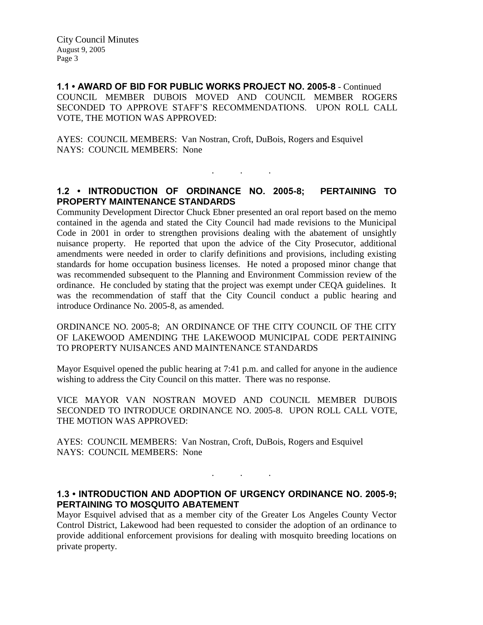City Council Minutes August 9, 2005 Page 3

**1.1 • AWARD OF BID FOR PUBLIC WORKS PROJECT NO. 2005-8** - Continued COUNCIL MEMBER DUBOIS MOVED AND COUNCIL MEMBER ROGERS SECONDED TO APPROVE STAFF'S RECOMMENDATIONS. UPON ROLL CALL VOTE, THE MOTION WAS APPROVED:

AYES: COUNCIL MEMBERS: Van Nostran, Croft, DuBois, Rogers and Esquivel NAYS: COUNCIL MEMBERS: None

# **1.2 • INTRODUCTION OF ORDINANCE NO. 2005-8; PERTAINING TO PROPERTY MAINTENANCE STANDARDS**

. . .

Community Development Director Chuck Ebner presented an oral report based on the memo contained in the agenda and stated the City Council had made revisions to the Municipal Code in 2001 in order to strengthen provisions dealing with the abatement of unsightly nuisance property. He reported that upon the advice of the City Prosecutor, additional amendments were needed in order to clarify definitions and provisions, including existing standards for home occupation business licenses. He noted a proposed minor change that was recommended subsequent to the Planning and Environment Commission review of the ordinance. He concluded by stating that the project was exempt under CEQA guidelines. It was the recommendation of staff that the City Council conduct a public hearing and introduce Ordinance No. 2005-8, as amended.

ORDINANCE NO. 2005-8; AN ORDINANCE OF THE CITY COUNCIL OF THE CITY OF LAKEWOOD AMENDING THE LAKEWOOD MUNICIPAL CODE PERTAINING TO PROPERTY NUISANCES AND MAINTENANCE STANDARDS

Mayor Esquivel opened the public hearing at 7:41 p.m. and called for anyone in the audience wishing to address the City Council on this matter. There was no response.

VICE MAYOR VAN NOSTRAN MOVED AND COUNCIL MEMBER DUBOIS SECONDED TO INTRODUCE ORDINANCE NO. 2005-8. UPON ROLL CALL VOTE, THE MOTION WAS APPROVED:

AYES: COUNCIL MEMBERS: Van Nostran, Croft, DuBois, Rogers and Esquivel NAYS: COUNCIL MEMBERS: None

### **1.3 • INTRODUCTION AND ADOPTION OF URGENCY ORDINANCE NO. 2005-9; PERTAINING TO MOSQUITO ABATEMENT**

. . .

Mayor Esquivel advised that as a member city of the Greater Los Angeles County Vector Control District, Lakewood had been requested to consider the adoption of an ordinance to provide additional enforcement provisions for dealing with mosquito breeding locations on private property.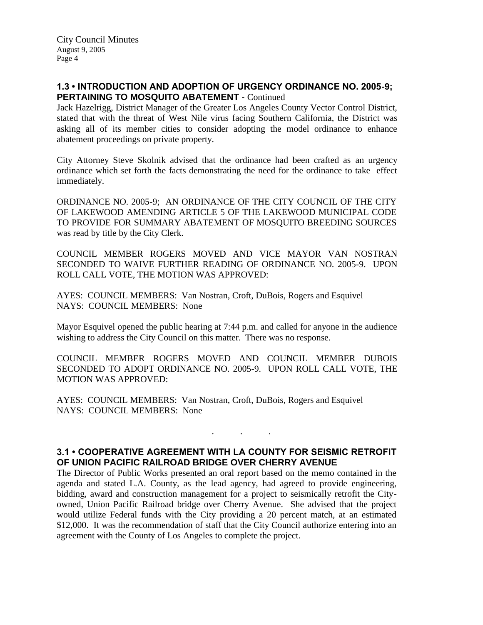# **1.3 • INTRODUCTION AND ADOPTION OF URGENCY ORDINANCE NO. 2005-9; PERTAINING TO MOSQUITO ABATEMENT** - Continued

Jack Hazelrigg, District Manager of the Greater Los Angeles County Vector Control District, stated that with the threat of West Nile virus facing Southern California, the District was asking all of its member cities to consider adopting the model ordinance to enhance abatement proceedings on private property.

City Attorney Steve Skolnik advised that the ordinance had been crafted as an urgency ordinance which set forth the facts demonstrating the need for the ordinance to take effect immediately.

ORDINANCE NO. 2005-9; AN ORDINANCE OF THE CITY COUNCIL OF THE CITY OF LAKEWOOD AMENDING ARTICLE 5 OF THE LAKEWOOD MUNICIPAL CODE TO PROVIDE FOR SUMMARY ABATEMENT OF MOSQUITO BREEDING SOURCES was read by title by the City Clerk.

COUNCIL MEMBER ROGERS MOVED AND VICE MAYOR VAN NOSTRAN SECONDED TO WAIVE FURTHER READING OF ORDINANCE NO. 2005-9. UPON ROLL CALL VOTE, THE MOTION WAS APPROVED:

AYES: COUNCIL MEMBERS: Van Nostran, Croft, DuBois, Rogers and Esquivel NAYS: COUNCIL MEMBERS: None

Mayor Esquivel opened the public hearing at 7:44 p.m. and called for anyone in the audience wishing to address the City Council on this matter. There was no response.

COUNCIL MEMBER ROGERS MOVED AND COUNCIL MEMBER DUBOIS SECONDED TO ADOPT ORDINANCE NO. 2005-9. UPON ROLL CALL VOTE, THE MOTION WAS APPROVED:

AYES: COUNCIL MEMBERS: Van Nostran, Croft, DuBois, Rogers and Esquivel NAYS: COUNCIL MEMBERS: None

# **3.1 • COOPERATIVE AGREEMENT WITH LA COUNTY FOR SEISMIC RETROFIT OF UNION PACIFIC RAILROAD BRIDGE OVER CHERRY AVENUE**

. . .

The Director of Public Works presented an oral report based on the memo contained in the agenda and stated L.A. County, as the lead agency, had agreed to provide engineering, bidding, award and construction management for a project to seismically retrofit the Cityowned, Union Pacific Railroad bridge over Cherry Avenue. She advised that the project would utilize Federal funds with the City providing a 20 percent match, at an estimated \$12,000. It was the recommendation of staff that the City Council authorize entering into an agreement with the County of Los Angeles to complete the project.